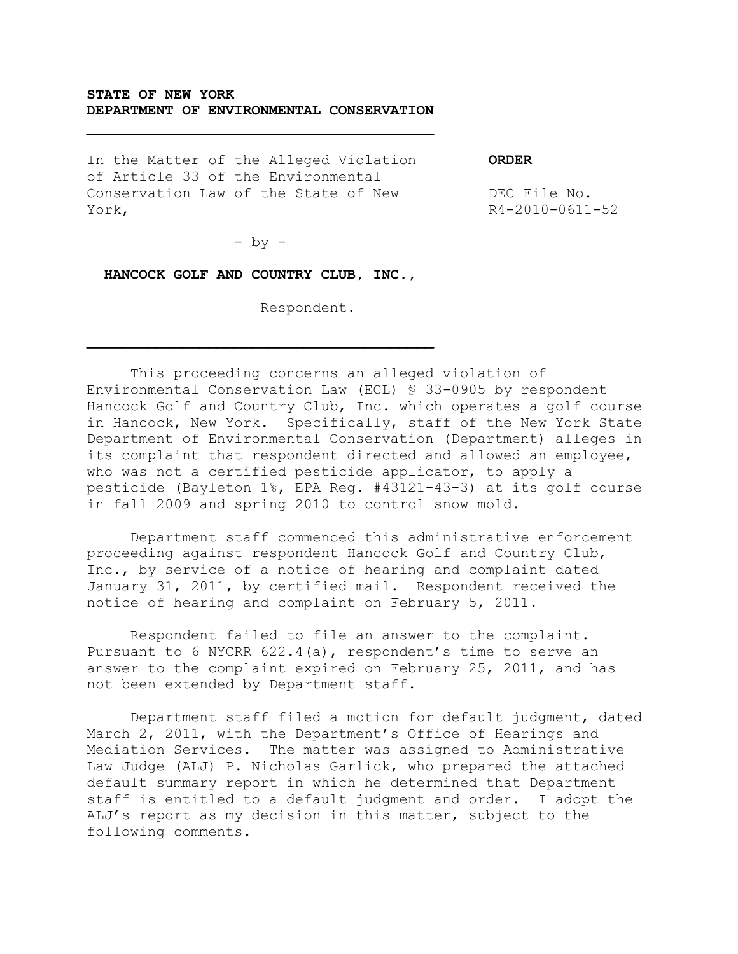# **STATE OF NEW YORK DEPARTMENT OF ENVIRONMENTAL CONSERVATION**

In the Matter of the Alleged Violation of Article 33 of the Environmental Conservation Law of the State of New York,

**ORDER**

DEC File No. R4-2010-0611-52

 $-$  by  $-$ 

 **HANCOCK GOLF AND COUNTRY CLUB, INC.,**

Respondent.

This proceeding concerns an alleged violation of Environmental Conservation Law (ECL) § 33-0905 by respondent Hancock Golf and Country Club, Inc. which operates a golf course in Hancock, New York. Specifically, staff of the New York State Department of Environmental Conservation (Department) alleges in its complaint that respondent directed and allowed an employee, who was not a certified pesticide applicator, to apply a pesticide (Bayleton 1%, EPA Reg. #43121-43-3) at its golf course in fall 2009 and spring 2010 to control snow mold.

Department staff commenced this administrative enforcement proceeding against respondent Hancock Golf and Country Club, Inc., by service of a notice of hearing and complaint dated January 31, 2011, by certified mail. Respondent received the notice of hearing and complaint on February 5, 2011.

Respondent failed to file an answer to the complaint. Pursuant to 6 NYCRR 622.4(a), respondent's time to serve an answer to the complaint expired on February 25, 2011, and has not been extended by Department staff.

Department staff filed a motion for default judgment, dated March 2, 2011, with the Department's Office of Hearings and Mediation Services. The matter was assigned to Administrative Law Judge (ALJ) P. Nicholas Garlick, who prepared the attached default summary report in which he determined that Department staff is entitled to a default judgment and order. I adopt the ALJ's report as my decision in this matter, subject to the following comments.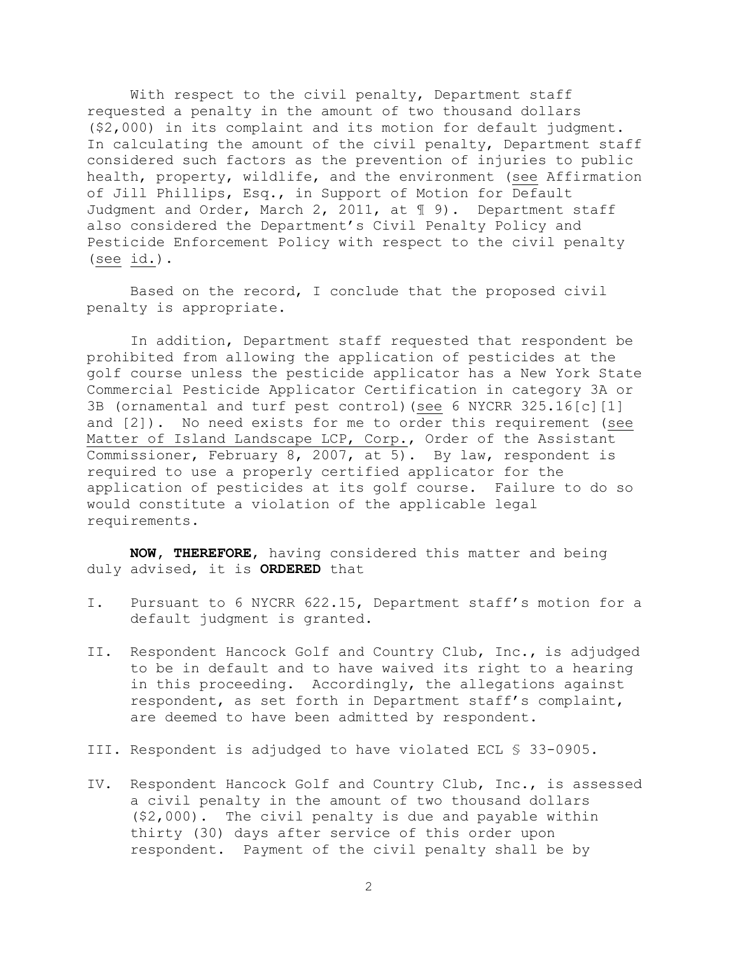With respect to the civil penalty, Department staff requested a penalty in the amount of two thousand dollars (\$2,000) in its complaint and its motion for default judgment. In calculating the amount of the civil penalty, Department staff considered such factors as the prevention of injuries to public health, property, wildlife, and the environment (see Affirmation of Jill Phillips, Esq., in Support of Motion for Default Judgment and Order, March 2, 2011, at  $\mathbb I$  9). Department staff also considered the Department's Civil Penalty Policy and Pesticide Enforcement Policy with respect to the civil penalty (see id.).

Based on the record, I conclude that the proposed civil penalty is appropriate.

In addition, Department staff requested that respondent be prohibited from allowing the application of pesticides at the golf course unless the pesticide applicator has a New York State Commercial Pesticide Applicator Certification in category 3A or 3B (ornamental and turf pest control)(see 6 NYCRR 325.16[c][1] and [2]). No need exists for me to order this requirement (see Matter of Island Landscape LCP, Corp., Order of the Assistant Commissioner, February 8, 2007, at 5). By law, respondent is required to use a properly certified applicator for the application of pesticides at its golf course. Failure to do so would constitute a violation of the applicable legal requirements.

**NOW, THEREFORE**, having considered this matter and being duly advised, it is **ORDERED** that

- I. Pursuant to 6 NYCRR 622.15, Department staff's motion for a default judgment is granted.
- II. Respondent Hancock Golf and Country Club, Inc., is adjudged to be in default and to have waived its right to a hearing in this proceeding. Accordingly, the allegations against respondent, as set forth in Department staff's complaint, are deemed to have been admitted by respondent.
- III. Respondent is adjudged to have violated ECL § 33-0905.
- IV. Respondent Hancock Golf and Country Club, Inc., is assessed a civil penalty in the amount of two thousand dollars (\$2,000). The civil penalty is due and payable within thirty (30) days after service of this order upon respondent. Payment of the civil penalty shall be by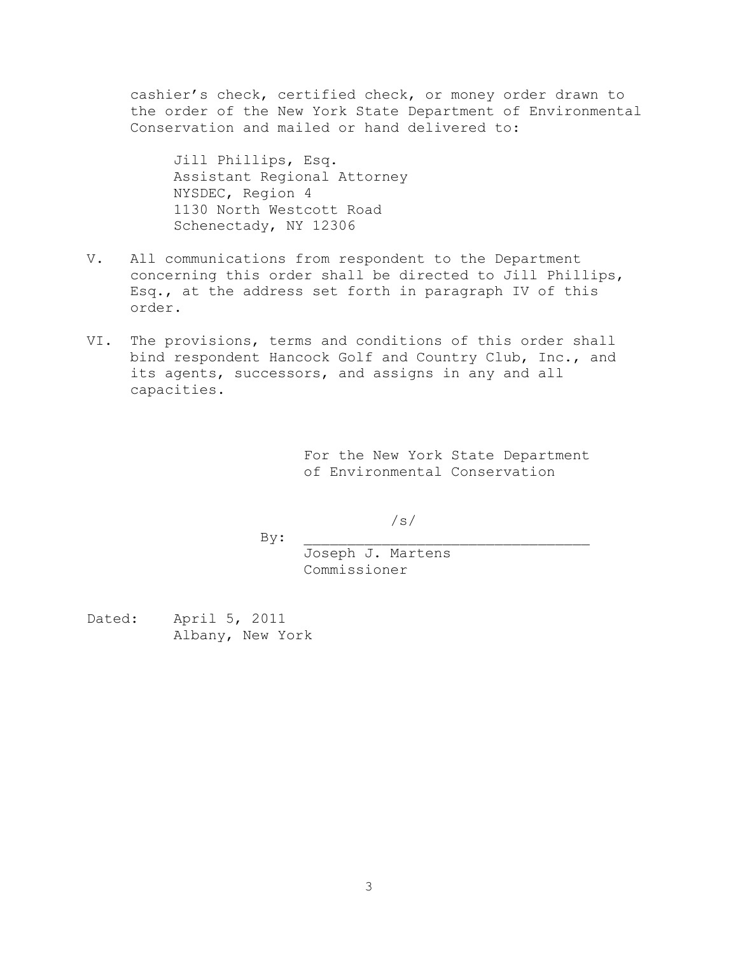cashier's check, certified check, or money order drawn to the order of the New York State Department of Environmental Conservation and mailed or hand delivered to:

Jill Phillips, Esq. Assistant Regional Attorney NYSDEC, Region 4 1130 North Westcott Road Schenectady, NY 12306

- V. All communications from respondent to the Department concerning this order shall be directed to Jill Phillips, Esq., at the address set forth in paragraph IV of this order.
- VI. The provisions, terms and conditions of this order shall bind respondent Hancock Golf and Country Club, Inc., and its agents, successors, and assigns in any and all capacities.

For the New York State Department of Environmental Conservation

/s/  $By:$ 

> Joseph J. Martens Commissioner

Dated: April 5, 2011 Albany, New York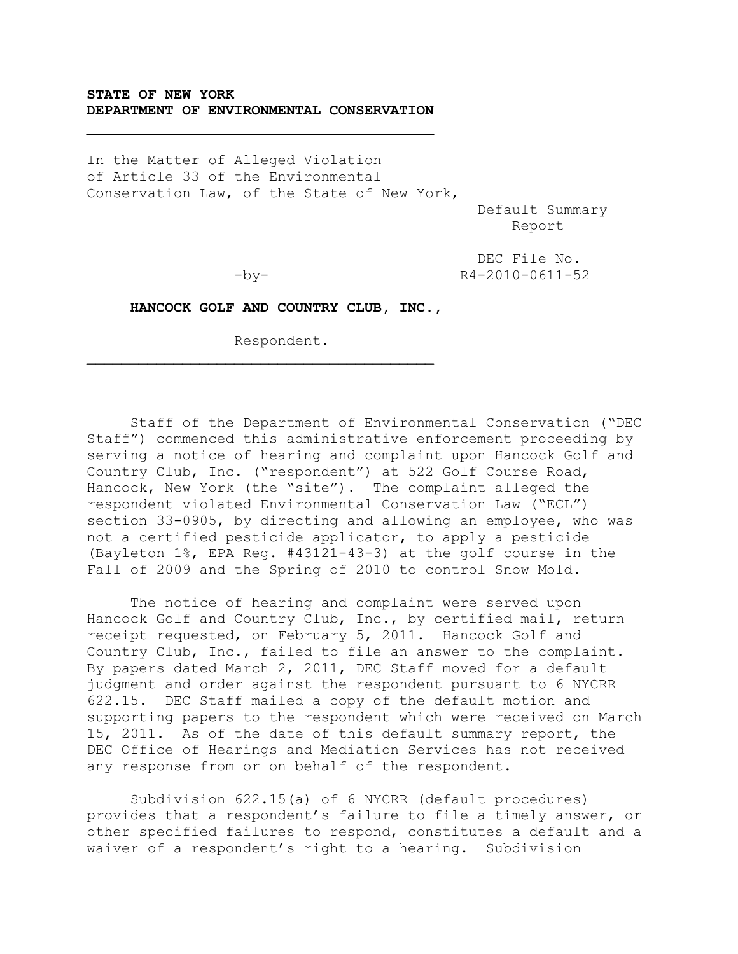# **STATE OF NEW YORK DEPARTMENT OF ENVIRONMENTAL CONSERVATION**

In the Matter of Alleged Violation of Article 33 of the Environmental Conservation Law, of the State of New York,

 Default Summary **Report** of the contract of the contract of the Report of the contract of the contract of the contract of the contract of the contract of the contract of the contract of the contract of the contract of the contract of the

 $\mathcal{L} = \{ \mathcal{L} \}$ 

 DEC File No. -by- R4-2010-0611-52

 **HANCOCK GOLF AND COUNTRY CLUB, INC.,**

Respondent.

Staff of the Department of Environmental Conservation ("DEC Staff") commenced this administrative enforcement proceeding by serving a notice of hearing and complaint upon Hancock Golf and Country Club, Inc. ("respondent") at 522 Golf Course Road, Hancock, New York (the "site"). The complaint alleged the respondent violated Environmental Conservation Law ("ECL") section 33-0905, by directing and allowing an employee, who was not a certified pesticide applicator, to apply a pesticide (Bayleton 1%, EPA Reg. #43121-43-3) at the golf course in the Fall of 2009 and the Spring of 2010 to control Snow Mold.

The notice of hearing and complaint were served upon Hancock Golf and Country Club, Inc., by certified mail, return receipt requested, on February 5, 2011. Hancock Golf and Country Club, Inc., failed to file an answer to the complaint. By papers dated March 2, 2011, DEC Staff moved for a default judgment and order against the respondent pursuant to 6 NYCRR 622.15. DEC Staff mailed a copy of the default motion and supporting papers to the respondent which were received on March 15, 2011. As of the date of this default summary report, the DEC Office of Hearings and Mediation Services has not received any response from or on behalf of the respondent.

Subdivision 622.15(a) of 6 NYCRR (default procedures) provides that a respondent's failure to file a timely answer, or other specified failures to respond, constitutes a default and a waiver of a respondent's right to a hearing. Subdivision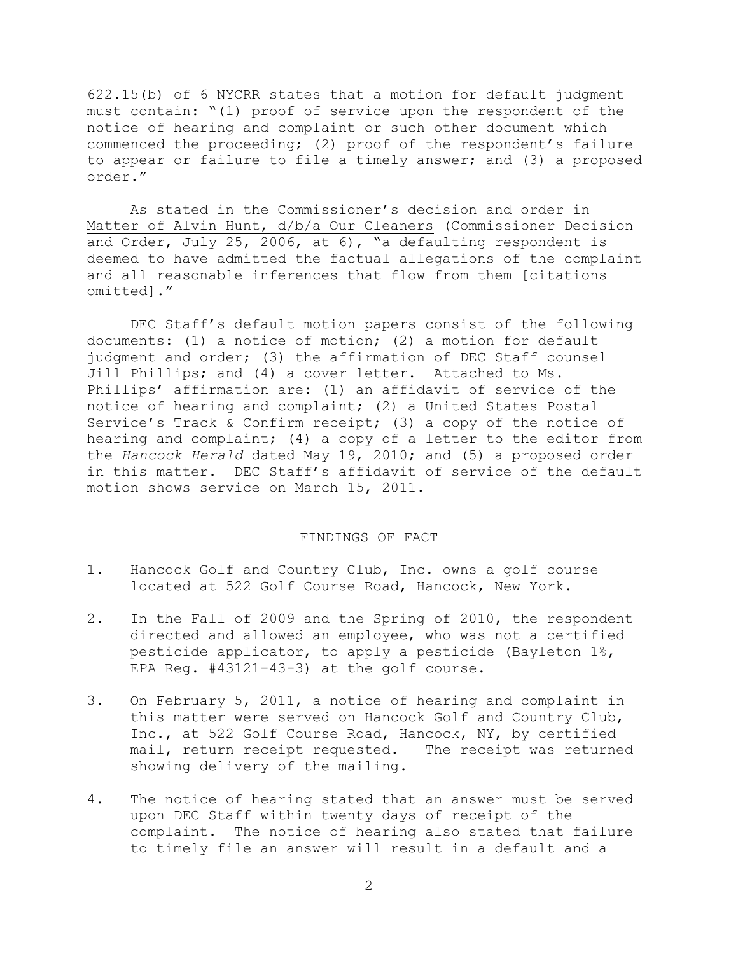622.15(b) of 6 NYCRR states that a motion for default judgment must contain: "(1) proof of service upon the respondent of the notice of hearing and complaint or such other document which commenced the proceeding; (2) proof of the respondent's failure to appear or failure to file a timely answer; and (3) a proposed order."

As stated in the Commissioner's decision and order in Matter of Alvin Hunt, d/b/a Our Cleaners (Commissioner Decision and Order, July 25, 2006, at 6), "a defaulting respondent is deemed to have admitted the factual allegations of the complaint and all reasonable inferences that flow from them [citations omitted]."

DEC Staff's default motion papers consist of the following documents: (1) a notice of motion; (2) a motion for default judgment and order; (3) the affirmation of DEC Staff counsel Jill Phillips; and (4) a cover letter. Attached to Ms. Phillips' affirmation are: (1) an affidavit of service of the notice of hearing and complaint; (2) a United States Postal Service's Track & Confirm receipt; (3) a copy of the notice of hearing and complaint; (4) a copy of a letter to the editor from the *Hancock Herald* dated May 19, 2010; and (5) a proposed order in this matter. DEC Staff's affidavit of service of the default motion shows service on March 15, 2011.

## FINDINGS OF FACT

- 1. Hancock Golf and Country Club, Inc. owns a golf course located at 522 Golf Course Road, Hancock, New York.
- 2. In the Fall of 2009 and the Spring of 2010, the respondent directed and allowed an employee, who was not a certified pesticide applicator, to apply a pesticide (Bayleton 1%, EPA Reg. #43121-43-3) at the golf course.
- 3. On February 5, 2011, a notice of hearing and complaint in this matter were served on Hancock Golf and Country Club, Inc., at 522 Golf Course Road, Hancock, NY, by certified mail, return receipt requested. The receipt was returned showing delivery of the mailing.
- 4. The notice of hearing stated that an answer must be served upon DEC Staff within twenty days of receipt of the complaint. The notice of hearing also stated that failure to timely file an answer will result in a default and a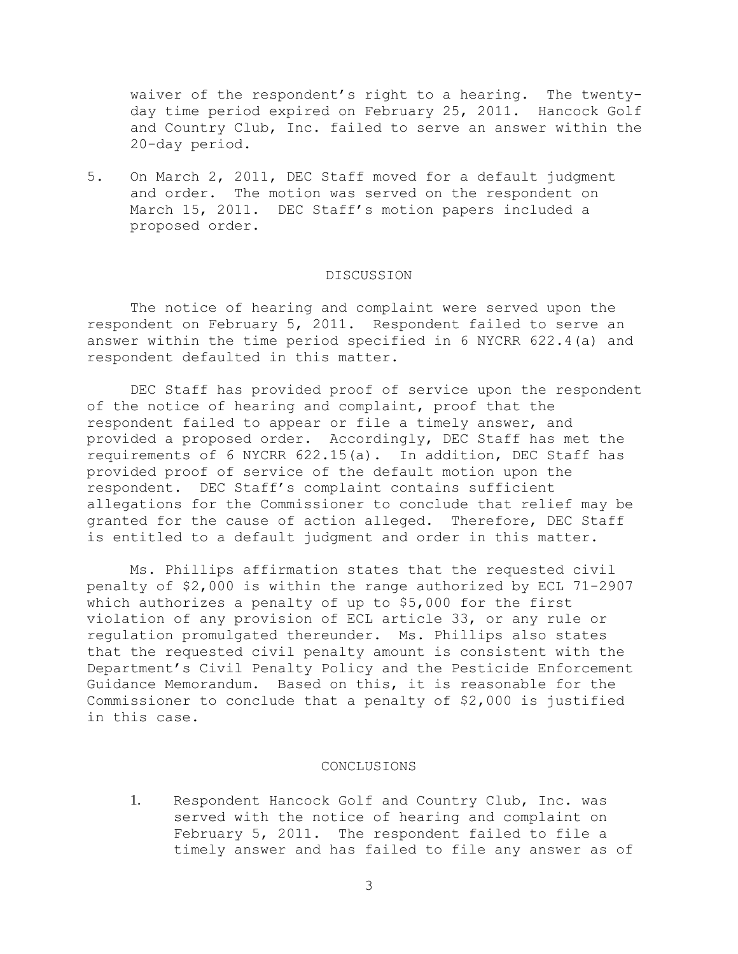waiver of the respondent's right to a hearing. The twentyday time period expired on February 25, 2011. Hancock Golf and Country Club, Inc. failed to serve an answer within the 20-day period.

5. On March 2, 2011, DEC Staff moved for a default judgment and order. The motion was served on the respondent on March 15, 2011. DEC Staff's motion papers included a proposed order.

## DISCUSSION

The notice of hearing and complaint were served upon the respondent on February 5, 2011. Respondent failed to serve an answer within the time period specified in 6 NYCRR 622.4(a) and respondent defaulted in this matter.

DEC Staff has provided proof of service upon the respondent of the notice of hearing and complaint, proof that the respondent failed to appear or file a timely answer, and provided a proposed order. Accordingly, DEC Staff has met the requirements of 6 NYCRR 622.15(a). In addition, DEC Staff has provided proof of service of the default motion upon the respondent. DEC Staff's complaint contains sufficient allegations for the Commissioner to conclude that relief may be granted for the cause of action alleged. Therefore, DEC Staff is entitled to a default judgment and order in this matter.

Ms. Phillips affirmation states that the requested civil penalty of \$2,000 is within the range authorized by ECL 71-2907 which authorizes a penalty of up to \$5,000 for the first violation of any provision of ECL article 33, or any rule or regulation promulgated thereunder. Ms. Phillips also states that the requested civil penalty amount is consistent with the Department's Civil Penalty Policy and the Pesticide Enforcement Guidance Memorandum. Based on this, it is reasonable for the Commissioner to conclude that a penalty of \$2,000 is justified in this case.

#### CONCLUSIONS

1. Respondent Hancock Golf and Country Club, Inc. was served with the notice of hearing and complaint on February 5, 2011. The respondent failed to file a timely answer and has failed to file any answer as of